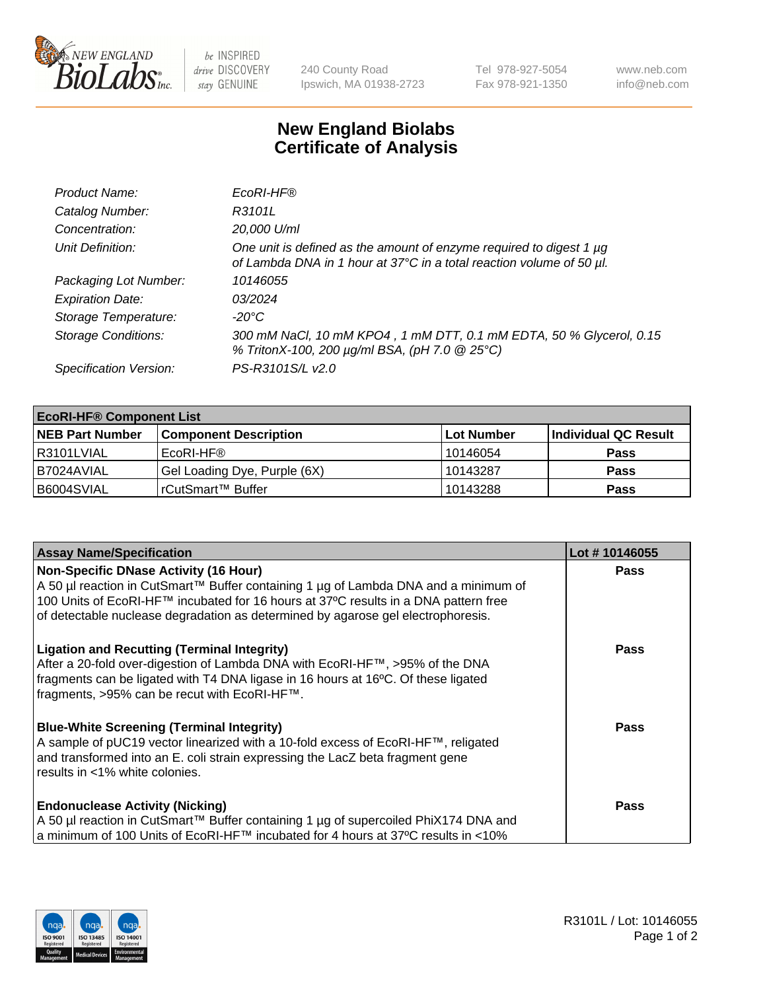

 $be$  INSPIRED drive DISCOVERY stay GENUINE

240 County Road Ipswich, MA 01938-2723 Tel 978-927-5054 Fax 978-921-1350 www.neb.com info@neb.com

## **New England Biolabs Certificate of Analysis**

| Product Name:              | EcoRI-HF®                                                                                                                                   |
|----------------------------|---------------------------------------------------------------------------------------------------------------------------------------------|
| Catalog Number:            | R3101L                                                                                                                                      |
| Concentration:             | 20,000 U/ml                                                                                                                                 |
| Unit Definition:           | One unit is defined as the amount of enzyme required to digest 1 µg<br>of Lambda DNA in 1 hour at 37°C in a total reaction volume of 50 µl. |
| Packaging Lot Number:      | 10146055                                                                                                                                    |
| <b>Expiration Date:</b>    | 03/2024                                                                                                                                     |
| Storage Temperature:       | -20°C                                                                                                                                       |
| <b>Storage Conditions:</b> | 300 mM NaCl, 10 mM KPO4, 1 mM DTT, 0.1 mM EDTA, 50 % Glycerol, 0.15<br>% TritonX-100, 200 µg/ml BSA, (pH 7.0 @ 25°C)                        |
| Specification Version:     | PS-R3101S/L v2.0                                                                                                                            |

| <b>EcoRI-HF® Component List</b> |                              |                   |                      |  |  |
|---------------------------------|------------------------------|-------------------|----------------------|--|--|
| <b>NEB Part Number</b>          | <b>Component Description</b> | <b>Lot Number</b> | Individual QC Result |  |  |
| R3101LVIAL                      | EcoRI-HF®                    | 10146054          | <b>Pass</b>          |  |  |
| B7024AVIAL                      | Gel Loading Dye, Purple (6X) | 10143287          | <b>Pass</b>          |  |  |
| B6004SVIAL                      | l rCutSmart™ Buffer          | 10143288          | <b>Pass</b>          |  |  |

| <b>Assay Name/Specification</b>                                                                                                                                                                                                                                                                         | Lot #10146055 |
|---------------------------------------------------------------------------------------------------------------------------------------------------------------------------------------------------------------------------------------------------------------------------------------------------------|---------------|
| Non-Specific DNase Activity (16 Hour)<br>A 50 µl reaction in CutSmart™ Buffer containing 1 µg of Lambda DNA and a minimum of<br>100 Units of EcoRI-HF™ incubated for 16 hours at 37°C results in a DNA pattern free<br>of detectable nuclease degradation as determined by agarose gel electrophoresis. | <b>Pass</b>   |
| <b>Ligation and Recutting (Terminal Integrity)</b><br>After a 20-fold over-digestion of Lambda DNA with EcoRI-HF™, >95% of the DNA<br>fragments can be ligated with T4 DNA ligase in 16 hours at 16°C. Of these ligated<br>fragments, >95% can be recut with EcoRI-HF™.                                 | Pass          |
| <b>Blue-White Screening (Terminal Integrity)</b><br>A sample of pUC19 vector linearized with a 10-fold excess of EcoRI-HF™, religated<br>and transformed into an E. coli strain expressing the LacZ beta fragment gene<br>l results in <1% white colonies.                                              | Pass          |
| <b>Endonuclease Activity (Nicking)</b><br>  A 50 µl reaction in CutSmart™ Buffer containing 1 µg of supercoiled PhiX174 DNA and<br> a minimum of 100 Units of EcoRI-HF™ incubated for 4 hours at 37°C results in <10%                                                                                   | <b>Pass</b>   |